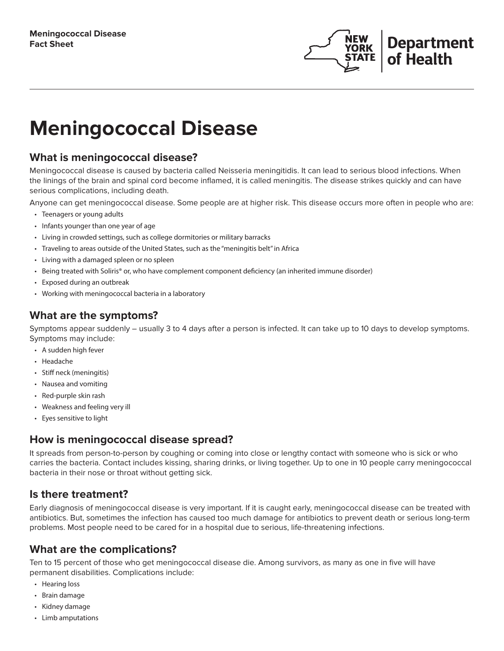

# **Meningococcal Disease**

# **What is meningococcal disease?**

Meningococcal disease is caused by bacteria called Neisseria meningitidis. It can lead to serious blood infections. When the linings of the brain and spinal cord become inflamed, it is called meningitis. The disease strikes quickly and can have serious complications, including death.

Anyone can get meningococcal disease. Some people are at higher risk. This disease occurs more often in people who are:

- Teenagers or young adults
- Infants younger than one year of age
- Living in crowded settings, such as college dormitories or military barracks
- Traveling to areas outside of the United States, such as the "meningitis belt" in Africa
- Living with a damaged spleen or no spleen
- Being treated with Soliris® or, who have complement component deficiency (an inherited immune disorder)
- Exposed during an outbreak
- Working with meningococcal bacteria in a laboratory

# **What are the symptoms?**

Symptoms appear suddenly – usually 3 to 4 days after a person is infected. It can take up to 10 days to develop symptoms. Symptoms may include:

- A sudden high fever
- Headache
- Stiff neck (meningitis)
- Nausea and vomiting
- Red-purple skin rash
- Weakness and feeling very ill
- Eyes sensitive to light

# **How is meningococcal disease spread?**

It spreads from person-to-person by coughing or coming into close or lengthy contact with someone who is sick or who carries the bacteria. Contact includes kissing, sharing drinks, or living together. Up to one in 10 people carry meningococcal bacteria in their nose or throat without getting sick.

# **Is there treatment?**

Early diagnosis of meningococcal disease is very important. If it is caught early, meningococcal disease can be treated with antibiotics. But, sometimes the infection has caused too much damage for antibiotics to prevent death or serious long-term problems. Most people need to be cared for in a hospital due to serious, life-threatening infections.

# **What are the complications?**

Ten to 15 percent of those who get meningococcal disease die. Among survivors, as many as one in five will have permanent disabilities. Complications include:

- Hearing loss
- Brain damage
- Kidney damage
- Limb amputations